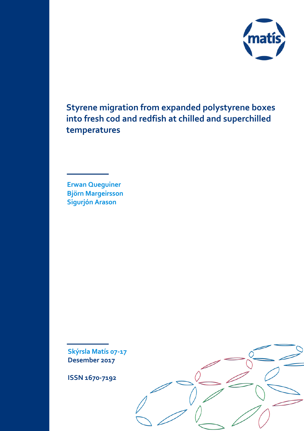

**Styrene migration from expanded polystyrene boxes into fresh cod and redfish at chilled and superchilled temperatures**

**Erwan Queguiner Björn Margeirsson Sigurjón Arason**

**Skýrsla Matís 07-17 Desember 2017** 

**ISSN 1670-7192**

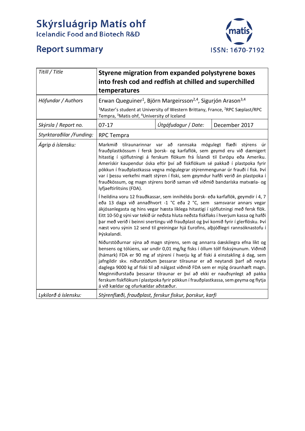# **Skýrsluágrip Matís ohf**<br>Icelandic Food and Biotech R&D



# **Report summary**

| Titill / Title           | Styrene migration from expanded polystyrene boxes<br>into fresh cod and redfish at chilled and superchilled<br>temperatures                                                                                                                                                                                                                                                                                                                                                                                                                                                                                                  |                                                         |               |  |
|--------------------------|------------------------------------------------------------------------------------------------------------------------------------------------------------------------------------------------------------------------------------------------------------------------------------------------------------------------------------------------------------------------------------------------------------------------------------------------------------------------------------------------------------------------------------------------------------------------------------------------------------------------------|---------------------------------------------------------|---------------|--|
| Höfundar / Authors       | Erwan Queguiner <sup>1</sup> , Björn Margeirsson <sup>2,4</sup> , Sigurjón Arason <sup>3,4</sup>                                                                                                                                                                                                                                                                                                                                                                                                                                                                                                                             |                                                         |               |  |
|                          | <sup>1</sup> Master's student at University of Western Brittany, France, <sup>2</sup> RPC Sæplast/RPC<br>Tempra, <sup>3</sup> Matis ohf, <sup>4</sup> University of Iceland                                                                                                                                                                                                                                                                                                                                                                                                                                                  |                                                         |               |  |
| Skýrsla / Report no.     | $07-17$                                                                                                                                                                                                                                                                                                                                                                                                                                                                                                                                                                                                                      | Útgáfudagur / Date:                                     | December 2017 |  |
| Styrktaraðilar /Funding: | <b>RPC Tempra</b>                                                                                                                                                                                                                                                                                                                                                                                                                                                                                                                                                                                                            |                                                         |               |  |
| Ágrip á íslensku:        | Markmið tilraunarinnar var að rannsaka mögulegt flæði stýrens<br>frauðplastkössum í fersk þorsk- og karfaflök, sem geymd eru við dæmigert<br>hitastig í sjóflutningi á ferskum flökum frá Íslandi til Evrópu eða Ameríku.<br>Amerískir kaupendur óska eftir því að fiskflökum sé pakkað í plastpoka fyrir<br>pökkun í frauðplastkassa vegna mögulegrar stýrenmengunar úr frauði í fisk. Því<br>var í þessu verkefni mælt stýren í fiski, sem geymdur hafði verið án plastpoka í<br>frauðkössum, og magn stýrens borið saman við viðmið bandaríska matvæla- og<br>lyfjaeftirlitsins (FDA).                                    |                                                         |               |  |
|                          | Í heildina voru 12 frauðkassar, sem innihéldu þorsk- eða karfaflök, geymdir í 4, 7<br>eða 13 daga við annaðhvort -1 °C eða 2 °C, sem samsvarar annars vegar<br>ákjósanlegasta og hins vegar hæsta líklega hitastigi í sjóflutningi með fersk flök.<br>Eitt 10-50 g sýni var tekið úr neðsta hluta neðsta fiskflaks í hverjum kassa og hafði<br>þar með verið í beinni snertingu við frauðplast og því komið fyrir í glerflösku. Því<br>næst voru sýnin 12 send til greiningar hjá Eurofins, alþjóðlegri rannsóknastofu í<br>Þýskalandi.                                                                                      |                                                         |               |  |
|                          | Niðurstöðurnar sýna að magn stýrens, sem og annarra óæskilegra efna líkt og<br>bensens og tólúens, var undir 0,01 mg/kg fisks í öllum tólf fisksýnunum. Viðmið<br>(hámark) FDA er 90 mg af stýreni í hverju kg af fiski á einstakling á dag, sem<br>jafngildir skv. niðurstöðum þessarar tilraunar er að neytandi þarf að neyta<br>daglega 9000 kg af fiski til að nálgast viðmið FDA sem er mjög óraunhæft magn.<br>Meginniðurstaða þessarar tilraunar er því að ekki er nauðsynlegt að pakka<br>ferskum fiskflökum í plastpoka fyrir pökkun í frauðplastkassa, sem geyma og flytja<br>á við kældar og ofurkældar aðstæður. |                                                         |               |  |
| Lykilorð á íslensku:     |                                                                                                                                                                                                                                                                                                                                                                                                                                                                                                                                                                                                                              | Stýrenflæði, frauðplast, ferskur fiskur, þorskur, karfi |               |  |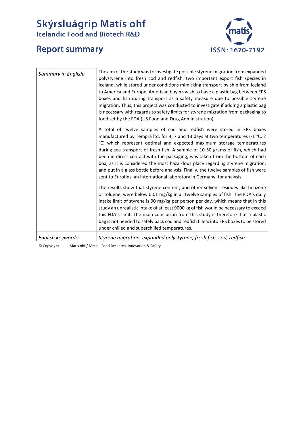# **Skýrsluágrip Matís ohf**<br>Icelandic Food and Biotech R&D



# **Report summary**

| Summary in English: | The aim of the study was to investigate possible styrene migration from expanded<br>polystyrene into fresh cod and redfish, two important export fish species in<br>Iceland, while stored under conditions mimicking transport by ship from Iceland<br>to America and Europe. American buyers wish to have a plastic bag between EPS<br>boxes and fish during transport as a safety measure due to possible styrene<br>migration. Thus, this project was conducted to investigate if adding a plastic bag<br>is necessary with regards to safety limits for styrene migration from packaging to<br>food set by the FDA (US Food and Drug Administration). |
|---------------------|-----------------------------------------------------------------------------------------------------------------------------------------------------------------------------------------------------------------------------------------------------------------------------------------------------------------------------------------------------------------------------------------------------------------------------------------------------------------------------------------------------------------------------------------------------------------------------------------------------------------------------------------------------------|
|                     | A total of twelve samples of cod and redfish were stored in EPS boxes<br>manufactured by Tempra ltd. for 4, 7 and 13 days at two temperatures (-1 °C, 2<br>°C) which represent optimal and expected maximum storage temperatures<br>during sea transport of fresh fish. A sample of 10-50 grams of fish, which had<br>been in direct contact with the packaging, was taken from the bottom of each<br>box, as it is considered the most hazardous place regarding styrene migration,<br>and put in a glass bottle before analysis. Finally, the twelve samples of fish were<br>sent to Eurofins, an international laboratory in Germany, for analysis.    |
|                     | The results show that styrene content, and other solvent residues like benzene<br>or toluene, were below 0.01 mg/kg in all twelve samples of fish. The FDA's daily<br>intake limit of styrene is 90 mg/kg per person per day, which means that in this<br>study an unrealistic intake of at least 9000 kg of fish would be necessary to exceed<br>this FDA's limit. The main conclusion from this study is therefore that a plastic<br>bag is not needed to safely pack cod and redfish fillets into EPS boxes to be stored<br>under chilled and superchilled temperatures.                                                                               |
| English keywords:   | Styrene migration, expanded polystyrene, fresh fish, cod, redfish                                                                                                                                                                                                                                                                                                                                                                                                                                                                                                                                                                                         |

© Copyright Matís ohf / Matis - Food Research, Innovation & Safety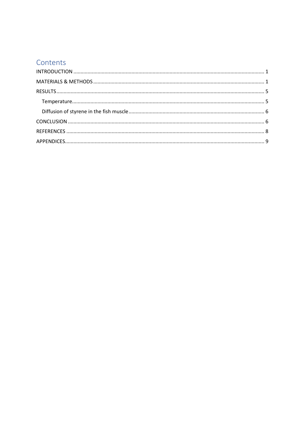# Contents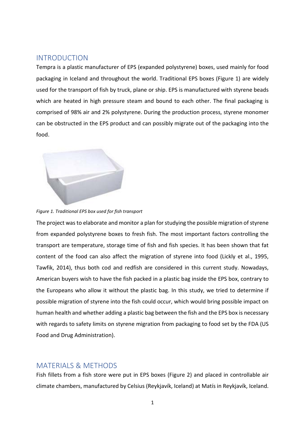## <span id="page-4-0"></span>INTRODUCTION

Tempra is a plastic manufacturer of EPS (expanded polystyrene) boxes, used mainly for food packaging in Iceland and throughout the world. Traditional EPS boxes (Figure 1) are widely used for the transport of fish by truck, plane or ship. EPS is manufactured with styrene beads which are heated in high pressure steam and bound to each other. The final packaging is comprised of 98% air and 2% polystyrene. During the production process, styrene monomer can be obstructed in the EPS product and can possibly migrate out of the packaging into the food.



*Figure 1. Traditional EPS box used for fish transport*

The project was to elaborate and monitor a plan for studying the possible migration of styrene from expanded polystyrene boxes to fresh fish. The most important factors controlling the transport are temperature, storage time of fish and fish species. It has been shown that fat content of the food can also affect the migration of styrene into food (Lickly et al., 1995, Tawfik, 2014), thus both cod and redfish are considered in this current study. Nowadays, American buyers wish to have the fish packed in a plastic bag inside the EPS box, contrary to the Europeans who allow it without the plastic bag. In this study, we tried to determine if possible migration of styrene into the fish could occur, which would bring possible impact on human health and whether adding a plastic bag between the fish and the EPS box is necessary with regards to safety limits on styrene migration from packaging to food set by the FDA (US Food and Drug Administration).

## <span id="page-4-1"></span>MATERIALS & METHODS

Fish fillets from a fish store were put in EPS boxes (Figure 2) and placed in controllable air climate chambers, manufactured by Celsius (Reykjavík, Iceland) at Matís in Reykjavík, Iceland.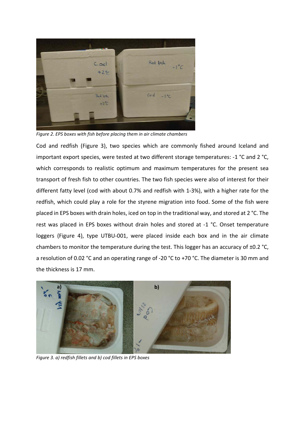

*Figure 2. EPS boxes with fish before placing them in air climate chambers*

Cod and redfish (Figure 3), two species which are commonly fished around Iceland and important export species, were tested at two different storage temperatures: -1 °C and 2 °C, which corresponds to realistic optimum and maximum temperatures for the present sea transport of fresh fish to other countries. The two fish species were also of interest for their different fatty level (cod with about 0.7% and redfish with 1-3%), with a higher rate for the redfish, which could play a role for the styrene migration into food. Some of the fish were placed in EPS boxes with drain holes, iced on top in the traditional way, and stored at 2 °C. The rest was placed in EPS boxes without drain holes and stored at -1 °C. Onset temperature loggers (Figure 4), type UTBU-001, were placed inside each box and in the air climate chambers to monitor the temperature during the test. This logger has an accuracy of ±0.2 °C, a resolution of 0.02 °C and an operating range of -20 °C to +70 °C. The diameter is 30 mm and the thickness is 17 mm.



*Figure 3. a) redfish fillets and b) cod fillets in EPS boxes*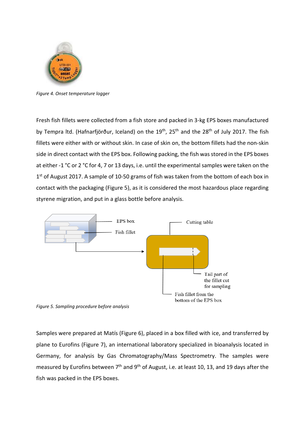

*Figure 4. Onset temperature logger*

Fresh fish fillets were collected from a fish store and packed in 3-kg EPS boxes manufactured by Tempra ltd. (Hafnarfjörður, Iceland) on the 19<sup>th</sup>, 25<sup>th</sup> and the 28<sup>th</sup> of July 2017. The fish fillets were either with or without skin. In case of skin on, the bottom fillets had the non-skin side in direct contact with the EPS box. Following packing, the fish was stored in the EPS boxes at either -1 °C or 2 °C for 4, 7 or 13 days, i.e. until the experimental samples were taken on the 1<sup>st</sup> of August 2017. A sample of 10-50 grams of fish was taken from the bottom of each box in contact with the packaging (Figure 5), as it is considered the most hazardous place regarding styrene migration, and put in a glass bottle before analysis.



*Figure 5. Sampling procedure before analysis*

Samples were prepared at Matís (Figure 6), placed in a box filled with ice, and transferred by plane to Eurofins (Figure 7), an international laboratory specialized in bioanalysis located in Germany, for analysis by Gas Chromatography/Mass Spectrometry. The samples were measured by Eurofins between 7<sup>th</sup> and 9<sup>th</sup> of August, i.e. at least 10, 13, and 19 days after the fish was packed in the EPS boxes.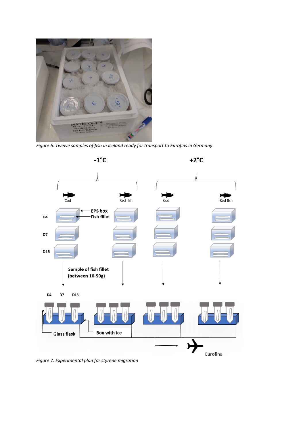

*Figure 6. Twelve samples of fish in Iceland ready for transport to Eurofins in Germany*



*Figure 7. Experimental plan for styrene migration*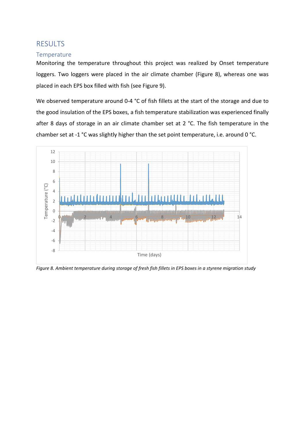## <span id="page-8-0"></span>RESULTS

#### <span id="page-8-1"></span>**Temperature**

Monitoring the temperature throughout this project was realized by Onset temperature loggers. Two loggers were placed in the air climate chamber (Figure 8), whereas one was placed in each EPS box filled with fish (see Figure 9).

We observed temperature around 0-4 °C of fish fillets at the start of the storage and due to the good insulation of the EPS boxes, a fish temperature stabilization was experienced finally after 8 days of storage in an air climate chamber set at 2 °C. The fish temperature in the chamber set at -1 °C was slightly higher than the set point temperature, i.e. around 0 °C.



*Figure 8. Ambient temperature during storage of fresh fish fillets in EPS boxes in a styrene migration study*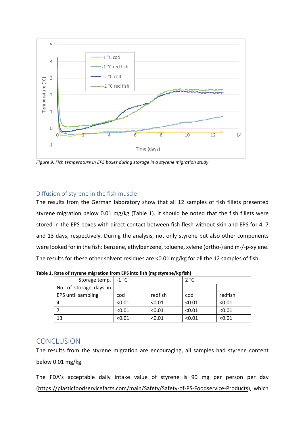

*Figure 9. Fish temperature in EPS boxes during storage in a styrene migration study*

### <span id="page-9-0"></span>Diffusion of styrene in the fish muscle

The results from the German laboratory show that all 12 samples of fish fillets presented styrene migration below 0.01 mg/kg (Table 1). It should be noted that the fish fillets were stored in the EPS boxes with direct contact between fish flesh without skin and EPS for 4, 7 and 13 days, respectively. During the analysis, not only styrene but also other components were looked for in the fish: benzene, ethylbenzene, toluene, xylene (ortho-) and m-/-p-xylene. The results for these other solvent residues are <0.01 mg/kg for all the 12 samples of fish.

| Storage temp.   -1 °C  |        |         | 2 °C   |         |
|------------------------|--------|---------|--------|---------|
| No. of storage days in |        |         |        |         |
| EPS until sampling     | cod    | redfish | cod    | redfish |
| 4                      | < 0.01 | < 0.01  | < 0.01 | < 0.01  |
|                        | < 0.01 | < 0.01  | < 0.01 | < 0.01  |
| 13                     | < 0.01 | < 0.01  | < 0.01 | < 0.01  |

**Table 1. Rate of styrene migration from EPS into fish (mg styrene/kg fish)**

## <span id="page-9-1"></span>**CONCLUSION**

The results from the styrene migration are encouraging, all samples had styrene content below 0.01 mg/kg.

The FDA's acceptable daily intake value of styrene is 90 mg per person per day [\(https://plasticfoodservicefacts.com/main/Safety/Safety-of-PS-Foodservice-Products\)](https://plasticfoodservicefacts.com/main/Safety/Safety-of-PS-Foodservice-Products), which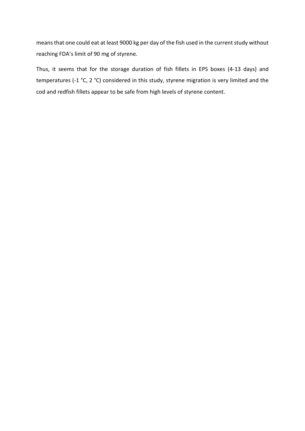means that one could eat at least 9000 kg per day of the fish used in the current study without reaching FDA's limit of 90 mg of styrene.

Thus, it seems that for the storage duration of fish fillets in EPS boxes (4-13 days) and temperatures (-1 °C, 2 °C) considered in this study, styrene migration is very limited and the cod and redfish fillets appear to be safe from high levels of styrene content.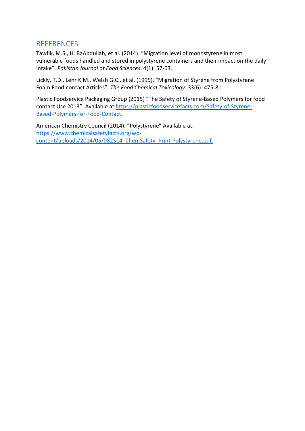# <span id="page-11-0"></span>**REFERENCES**

Tawfik, M.S., H. BaAbdullah, et al. (2014). "Migration level of monostyrene in most vulnerable foods handled and stored in polystyrene containers and their impact on the daily intake". *Pakistan Journal of Food Sciences*. 4(1): 57-63.

Lickly, T.D., Lehr K.M., Welsh G.C., et al. (1995). "Migration of Styrene from Polystyrene Foam Food-contact Articles". *The Food Chemical Toxicology*. 33(6): 475-81

Plastic Foodservice Packaging Group (2015) "The Safety of Styrene-Based Polymers for food contact Use 2013". Available at [https://plasticfoodservicefacts.com/Safety-of-Styrene-](https://plasticfoodservicefacts.com/Safety-of-Styrene-Based-Polymers-for-Food-Contact)[Based-Polymers-for-Food-Contact.](https://plasticfoodservicefacts.com/Safety-of-Styrene-Based-Polymers-for-Food-Contact)

American Chemistry Council (2014). "Polystyrene" Available at: [https://www.chemicalsafetyfacts.org/wp](https://www.chemicalsafetyfacts.org/wp-content/uploads/2014/05/082514_ChemSafety_Print-Polystyrene.pdf)content/uploads/2014/05/082514 ChemSafety Print-Polystyrene.pdf.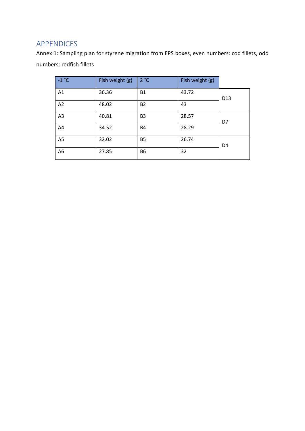# <span id="page-12-0"></span>APPENDICES

Annex 1: Sampling plan for styrene migration from EPS boxes, even numbers: cod fillets, odd numbers: redfish fillets

| $-1$ °C        | Fish weight (g) | 2 °C           | Fish weight (g) |                 |
|----------------|-----------------|----------------|-----------------|-----------------|
| A1             | 36.36           | <b>B1</b>      | 43.72           | D <sub>13</sub> |
| A2             | 48.02           | <b>B2</b>      | 43              |                 |
| A3             | 40.81           | B <sub>3</sub> | 28.57           | D7              |
| A4             | 34.52           | <b>B4</b>      | 28.29           |                 |
| A <sub>5</sub> | 32.02           | <b>B5</b>      | 26.74           | D <sub>4</sub>  |
| A <sub>6</sub> | 27.85           | <b>B6</b>      | 32              |                 |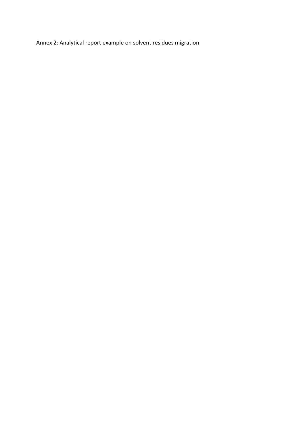Annex 2: Analytical report example on solvent residues migration